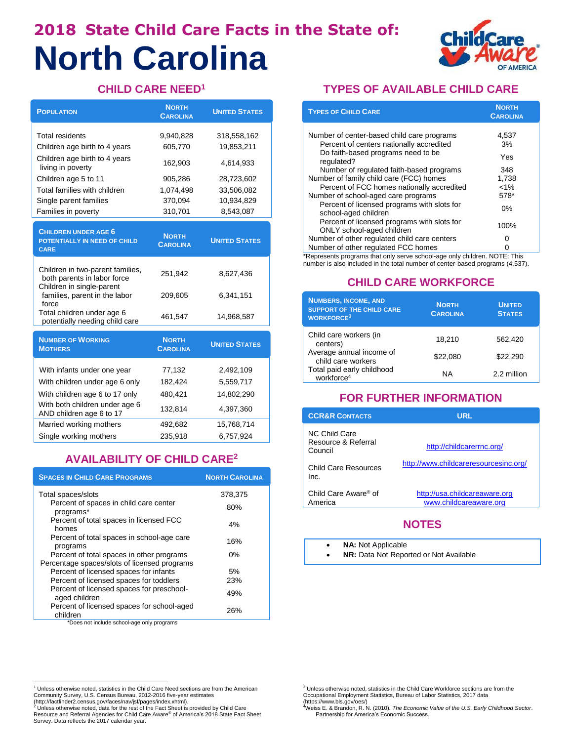## **2018 State Child Care Facts in the State of: North Carolina**



### **CHILD CARE NEED<sup>1</sup>**

| <b>POPULATION</b>                                                          | <b>NORTH</b><br><b>CAROLINA</b> | <b>UNITED STATES</b> |
|----------------------------------------------------------------------------|---------------------------------|----------------------|
| <b>Total residents</b>                                                     | 9,940,828                       | 318,558,162          |
| Children age birth to 4 years                                              | 605,770                         | 19,853,211           |
| Children age birth to 4 years<br>living in poverty                         | 162,903                         | 4,614,933            |
| Children age 5 to 11                                                       | 905,286                         | 28,723,602           |
| Total families with children                                               | 1,074,498                       | 33,506,082           |
| Single parent families                                                     | 370,094                         | 10,934,829           |
| Families in poverty                                                        | 310,701                         | 8,543,087            |
| <b>CHILDREN UNDER AGE 6</b><br>POTENTIALLY IN NEED OF CHILD<br><b>CARE</b> | <b>NORTH</b><br><b>CAROLINA</b> | <b>UNITED STATES</b> |
| Children in two-parent families,<br>both parents in labor force            | 251,942                         | 8,627,436            |
| Children in single-parent<br>families, parent in the labor<br>force        | 209,605                         | 6,341,151            |
| Total children under age 6<br>potentially needing child care               | 461,547                         | 14,968,587           |
| <b>NUMBER OF WORKING</b><br><b>MOTHERS</b>                                 | <b>NORTH</b><br><b>CAROLINA</b> | <b>UNITED STATES</b> |
| With infants under one year                                                | 77,132                          | 2,492,109            |
| With children under age 6 only                                             | 182,424                         | 5,559,717            |
| With children age 6 to 17 only                                             | 480,421                         | 14,802,290           |
| With both children under age 6<br>AND children age 6 to 17                 | 132,814                         | 4,397,360            |
| Married working mothers                                                    | 492,682                         | 15,768,714           |
| Single working mothers                                                     | 235,918                         | 6,757,924            |

### **AVAILABILITY OF CHILD CARE<sup>2</sup>**

| <b>SPACES IN CHILD CARE PROGRAMS</b>                                                      | <b>NORTH CAROLINA</b> |
|-------------------------------------------------------------------------------------------|-----------------------|
| Total spaces/slots                                                                        | 378,375               |
| Percent of spaces in child care center<br>programs*                                       | 80%                   |
| Percent of total spaces in licensed FCC<br>homes                                          | 4%                    |
| Percent of total spaces in school-age care<br>programs                                    | 16%                   |
| Percent of total spaces in other programs<br>Percentage spaces/slots of licensed programs | $0\%$                 |
| Percent of licensed spaces for infants                                                    | 5%                    |
| Percent of licensed spaces for toddlers                                                   | 23%                   |
| Percent of licensed spaces for preschool-<br>aged children                                | 49%                   |
| Percent of licensed spaces for school-aged<br>children                                    | 26%                   |
| *Does not include school-age only programs                                                |                       |

### **TYPES OF AVAILABLE CHILD CARE**

| <b>TYPES OF CHILD CARE</b>                                               | <b>NORTH</b><br><b>CAROLINA</b> |
|--------------------------------------------------------------------------|---------------------------------|
|                                                                          |                                 |
| Number of center-based child care programs                               | 4,537                           |
| Percent of centers nationally accredited                                 | 3%                              |
| Do faith-based programs need to be<br>regulated?                         | Yes                             |
| Number of regulated faith-based programs                                 | 348                             |
| Number of family child care (FCC) homes                                  | 1,738                           |
| Percent of FCC homes nationally accredited                               | $< 1\%$                         |
| Number of school-aged care programs                                      | 578*                            |
| Percent of licensed programs with slots for<br>school-aged children      | $0\%$                           |
| Percent of licensed programs with slots for<br>ONLY school-aged children | 100%                            |
| Number of other regulated child care centers                             | 0                               |
| Number of other regulated FCC homes                                      |                                 |

\*Represents programs that only serve school-age only children. NOTE: This number is also included in the total number of center-based programs (4,537).

### **CHILD CARE WORKFORCE**

| <b>NUMBERS, INCOME, AND</b><br><b>SUPPORT OF THE CHILD CARE</b><br><b>WORKFORCE<sup>3</sup></b> | <b>NORTH</b><br><b>CAROLINA</b> | <b>UNITED</b><br><b>STATES</b> |
|-------------------------------------------------------------------------------------------------|---------------------------------|--------------------------------|
| Child care workers (in<br>centers)                                                              | 18.210                          | 562,420                        |
| Average annual income of<br>child care workers                                                  | \$22,080                        | \$22,290                       |
| Total paid early childhood<br>workforce <sup>4</sup>                                            | ΝA                              | 2.2 million                    |

### **FOR FURTHER INFORMATION**

| <b>CCR&amp;R CONTACTS</b>                       | URL                                                     |
|-------------------------------------------------|---------------------------------------------------------|
| NC Child Care<br>Resource & Referral<br>Council | http://childcarerrnc.org/                               |
| Child Care Resources<br>Inc.                    | http://www.childcareresourcesinc.org/                   |
| Child Care Aware <sup>®</sup> of<br>America     | http://usa.childcareaware.org<br>www.childcareaware.org |
|                                                 |                                                         |

### **NOTES**

- **NA: Not Applicable** 
	- **NR:** Data Not Reported or Not Available

<sup>1&</sup>lt;br><sup>1</sup> Unless otherwise noted, statistics in the Child Care Need sections are from the American

Community Survey, U.S. Census Bureau, 2012-2016 five-year estimates<br>(http://factfinder2.census.gov/faces/nav/jsf/pages/index.xhtml).<br><sup>2</sup> Unless otherwise noted, data for the rest of the Fact Sheet is provided by Child Care Survey. Data reflects the 2017 calendar year.

<sup>&</sup>lt;sup>3</sup> Unless otherwise noted, statistics in the Child Care Workforce sections are from the Occupational Employment Statistics, Bureau of Labor Statistics, 2017 data (https://www.bls.gov/oes/)

<sup>4</sup>Weiss E. & Brandon, R. N. (2010). *The Economic Value of the U.S. Early Childhood Sector*. Partnership for America's Economic Success.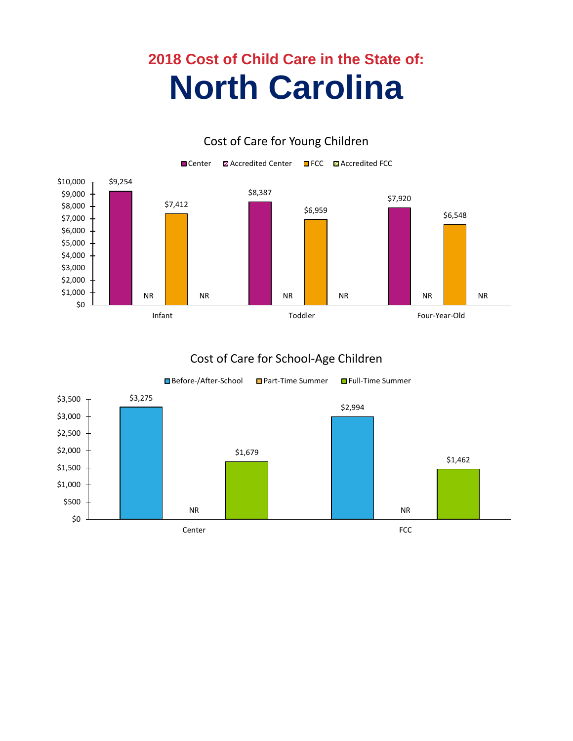## **2018 Cost of Child Care in the State of: North Carolina**



### Cost of Care for Young Children

### Cost of Care for School-Age Children

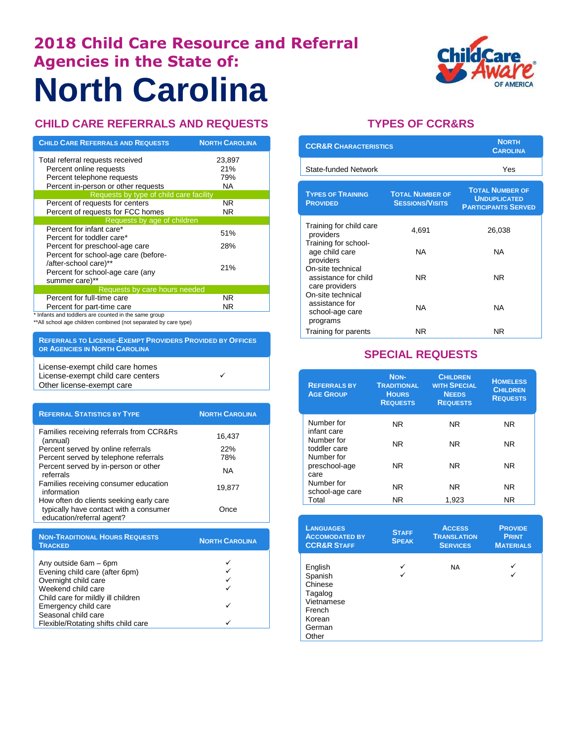## **2018 Child Care Resource and Referral Agencies in the State of: North Carolina**

### **CHILD CARE REFERRALS AND REQUESTS**

| <b>CHILD CARE REFERRALS AND REQUESTS</b>                                                                                         | <b>NORTH CAROLINA</b>      |
|----------------------------------------------------------------------------------------------------------------------------------|----------------------------|
| Total referral requests received<br>Percent online requests<br>Percent telephone requests<br>Percent in-person or other requests | 23,897<br>21%<br>79%<br>NA |
| Requests by type of child care facility                                                                                          |                            |
| Percent of requests for centers<br>Percent of requests for FCC homes                                                             | NR.<br>NR.                 |
| Requests by age of children                                                                                                      |                            |
| Percent for infant care*<br>Percent for toddler care*                                                                            | 51%                        |
| Percent for preschool-age care<br>Percent for school-age care (before-                                                           | 28%                        |
| /after-school care)**<br>Percent for school-age care (any<br>summer care)**                                                      | 21%                        |
| Requests by care hours needed                                                                                                    |                            |
| Percent for full-time care<br>Percent for part-time care                                                                         | NR.<br>NR.                 |
| * Infants and toddlers are counted in the same group                                                                             |                            |

\*\*All school age children combined (not separated by care type)

#### **REFERRALS TO LICENSE-EXEMPT PROVIDERS PROVIDED BY OFFICES OR AGENCIES IN NORTH CAROLINA**

License-exempt child care homes License-exempt child care centers  $\checkmark$ Other license-exempt care

| <b>REFERRAL STATISTICS BY TYPE</b>                                                                             | <b>NORTH CAROLINA</b> |
|----------------------------------------------------------------------------------------------------------------|-----------------------|
| Families receiving referrals from CCR&Rs<br>(annual)                                                           | 16,437                |
| Percent served by online referrals<br>Percent served by telephone referrals                                    | 22%<br>78%            |
| Percent served by in-person or other<br>referrals                                                              | <b>NA</b>             |
| Families receiving consumer education<br>information                                                           | 19,877                |
| How often do clients seeking early care<br>typically have contact with a consumer<br>education/referral agent? | Once                  |

| <b>NON-TRADITIONAL HOURS REQUESTS</b><br><b>TRACKED</b> | <b>NORTH CAROLINA</b> |
|---------------------------------------------------------|-----------------------|
|                                                         |                       |
| Any outside 6am - 6pm                                   |                       |
| Evening child care (after 6pm)                          |                       |
| Overnight child care                                    |                       |
| Weekend child care                                      |                       |
| Child care for mildly ill children                      |                       |
| Emergency child care                                    |                       |
| Seasonal child care                                     |                       |
| Flexible/Rotating shifts child care                     |                       |
|                                                         |                       |

# **OF AMERICA**

### **TYPES OF CCR&RS**

| <b>CCR&amp;R CHARACTERISTICS</b>                                   |                                                  | <b>NORTH</b><br><b>CAROLINA</b>                                             |
|--------------------------------------------------------------------|--------------------------------------------------|-----------------------------------------------------------------------------|
| State-funded Network                                               |                                                  | Yes                                                                         |
| <b>TYPES OF TRAINING</b><br><b>PROVIDED</b>                        | <b>TOTAL NUMBER OF</b><br><b>SESSIONS/VISITS</b> | <b>TOTAL NUMBER OF</b><br><b>UNDUPLICATED</b><br><b>PARTICIPANTS SERVED</b> |
| Training for child care<br>providers                               | 4,691                                            | 26,038                                                                      |
| Training for school-<br>age child care<br>providers                | NA.                                              | <b>NA</b>                                                                   |
| On-site technical<br>assistance for child<br>care providers        | NR.                                              | NR.                                                                         |
| On-site technical<br>assistance for<br>school-age care<br>programs | NA                                               | NA                                                                          |
| Training for parents                                               | NR.                                              | NR.                                                                         |

### **SPECIAL REQUESTS**

| <b>REFERRALS BY</b><br><b>AGE GROUP</b> | NON-<br><b>TRADITIONAL</b><br><b>HOURS</b><br><b>REQUESTS</b> | <b>CHILDREN</b><br><b>WITH SPECIAL</b><br><b>NEEDS</b><br><b>REQUESTS</b> | <b>HOMELESS</b><br><b>CHILDREN</b><br><b>REQUESTS</b> |
|-----------------------------------------|---------------------------------------------------------------|---------------------------------------------------------------------------|-------------------------------------------------------|
| Number for<br>infant care               | NR.                                                           | NR.                                                                       | <b>NR</b>                                             |
| Number for<br>toddler care              | NR.                                                           | <b>NR</b>                                                                 | <b>NR</b>                                             |
| Number for<br>preschool-age<br>care     | NR.                                                           | <b>NR</b>                                                                 | <b>NR</b>                                             |
| Number for<br>school-age care           | NR.                                                           | <b>NR</b>                                                                 | NR.                                                   |
| Total                                   | NR.                                                           | 1.923                                                                     | NR.                                                   |

| <b>LANGUAGES</b><br><b>ACCOMODATED BY</b><br><b>CCR&amp;R STAFF</b>                           | <b>STAFF</b><br><b>SPEAK</b> | <b>ACCESS</b><br><b>TRANSLATION</b><br><b>SERVICES</b> | <b>PROVIDE</b><br><b>PRINT</b><br><b>MATERIALS</b> |
|-----------------------------------------------------------------------------------------------|------------------------------|--------------------------------------------------------|----------------------------------------------------|
| English<br>Spanish<br>Chinese<br>Tagalog<br>Vietnamese<br>French<br>Korean<br>German<br>Other |                              | <b>NA</b>                                              |                                                    |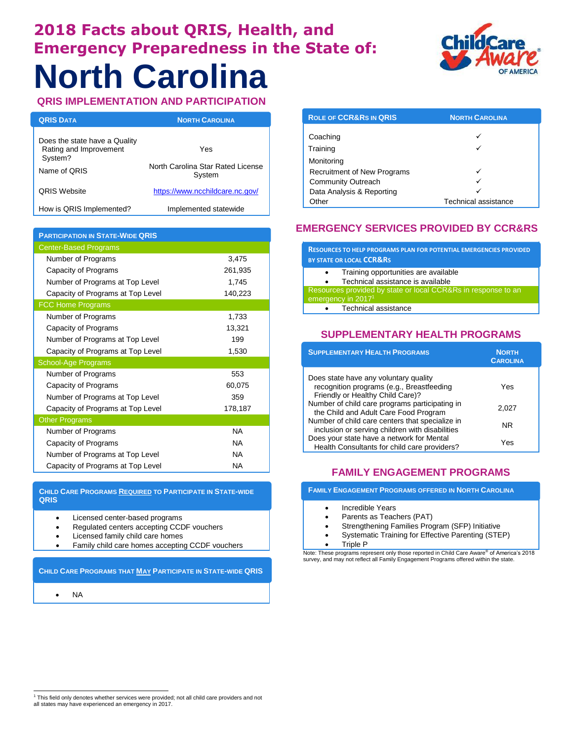### **2018 Facts about QRIS, Health, and Emergency Preparedness in the State of:**



## **North Carolina**

### **QRIS IMPLEMENTATION AND PARTICIPATION**

| <b>QRIS DATA</b>                                                                   | <b>NORTH CAROLINA</b>                              |
|------------------------------------------------------------------------------------|----------------------------------------------------|
| Does the state have a Quality<br>Rating and Improvement<br>System?<br>Name of ORIS | Yes<br>North Carolina Star Rated License<br>System |
| <b>ORIS Website</b>                                                                | https://www.ncchildcare.nc.gov/                    |
| How is QRIS Implemented?                                                           | Implemented statewide                              |

| <b>PARTICIPATION IN STATE-WIDE QRIS</b> |           |
|-----------------------------------------|-----------|
| <b>Center-Based Programs</b>            |           |
| Number of Programs                      | 3,475     |
| Capacity of Programs                    | 261,935   |
| Number of Programs at Top Level         | 1,745     |
| Capacity of Programs at Top Level       | 140,223   |
| <b>FCC Home Programs</b>                |           |
| Number of Programs                      | 1,733     |
| Capacity of Programs                    | 13,321    |
| Number of Programs at Top Level         | 199       |
| Capacity of Programs at Top Level       | 1,530     |
| <b>School-Age Programs</b>              |           |
| Number of Programs                      | 553       |
| Capacity of Programs                    | 60,075    |
| Number of Programs at Top Level         | 359       |
| Capacity of Programs at Top Level       | 178,187   |
| <b>Other Programs</b>                   |           |
| Number of Programs                      | <b>NA</b> |
| Capacity of Programs                    | <b>NA</b> |
| Number of Programs at Top Level         | <b>NA</b> |
| Capacity of Programs at Top Level       | <b>NA</b> |

**CHILD CARE PROGRAMS REQUIRED TO PARTICIPATE IN STATE-WIDE QRIS**

- Licensed center-based programs
- Regulated centers accepting CCDF vouchers
- Licensed family child care homes
- Family child care homes accepting CCDF vouchers

**CHILD CARE PROGRAMS THAT MAY PARTICIPATE IN STATE-WIDE QRIS**

 $\bullet$  NA

| <b>ROLE OF CCR&amp;RS IN QRIS</b>  | <b>NORTH CAROLINA</b> |  |
|------------------------------------|-----------------------|--|
| Coaching                           |                       |  |
| Training                           |                       |  |
| Monitoring                         |                       |  |
| <b>Recruitment of New Programs</b> |                       |  |
| <b>Community Outreach</b>          |                       |  |
| Data Analysis & Reporting          |                       |  |
| Other                              | Technical assistance  |  |

### **EMERGENCY SERVICES PROVIDED BY CCR&RS**

| <b>RESOURCES TO HELP PROGRAMS PLAN FOR POTENTIAL EMERGENCIES PROVIDED</b><br><b>BY STATE OR LOCAL CCR&amp;RS</b> |
|------------------------------------------------------------------------------------------------------------------|
| Training opportunities are available<br>$\bullet$<br>Technical assistance is available                           |
| Resources provided by state or local CCR&Rs in response to an<br>emergency in 2017 <sup>1</sup>                  |
| Technical assistance<br>$\bullet$                                                                                |

### **SUPPLEMENTARY HEALTH PROGRAMS**

| <b>SUPPLEMENTARY HEALTH PROGRAMS</b>                                                                                   | <b>NORTH</b><br><b>CAROLINA</b> |
|------------------------------------------------------------------------------------------------------------------------|---------------------------------|
| Does state have any voluntary quality<br>recognition programs (e.g., Breastfeeding<br>Friendly or Healthy Child Care)? | Yes                             |
| Number of child care programs participating in<br>the Child and Adult Care Food Program                                | 2,027                           |
| Number of child care centers that specialize in<br>inclusion or serving children with disabilities                     | NR.                             |
| Does your state have a network for Mental<br>Health Consultants for child care providers?                              | Yes                             |

### **FAMILY ENGAGEMENT PROGRAMS**

**FAMILY ENGAGEMENT PROGRAMS OFFERED IN NORTH CAROLINA**

- Incredible Years
- Parents as Teachers (PAT)
- Strengthening Families Program (SFP) Initiative
- Systematic Training for Effective Parenting (STEP)
- Triple P

Note: These programs represent only those reported in Child Care Aware® of America's 2018 survey, and may not reflect all Family Engagement Programs offered within the state.

<sup>1&</sup>lt;br><sup>1</sup> This field only denotes whether services were provided; not all child care providers and not all states may have experienced an emergency in 2017.